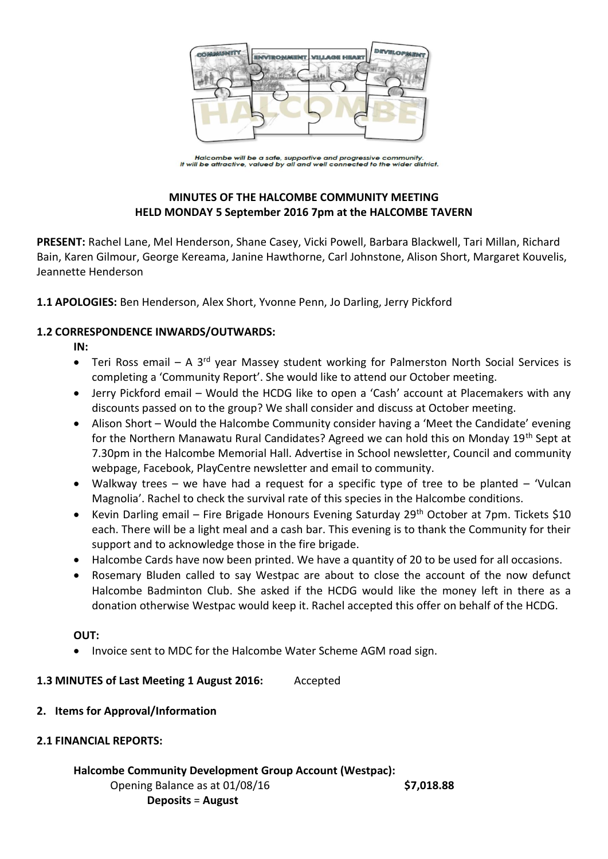

Halcombe will be a safe, supportive and progressive community.<br>It will be attractive, valued by all and well connected to the wider district.

# **MINUTES OF THE HALCOMBE COMMUNITY MEETING HELD MONDAY 5 September 2016 7pm at the HALCOMBE TAVERN**

**PRESENT:** Rachel Lane, Mel Henderson, Shane Casey, Vicki Powell, Barbara Blackwell, Tari Millan, Richard Bain, Karen Gilmour, George Kereama, Janine Hawthorne, Carl Johnstone, Alison Short, Margaret Kouvelis, Jeannette Henderson

**1.1 APOLOGIES:** Ben Henderson, Alex Short, Yvonne Penn, Jo Darling, Jerry Pickford

# **1.2 CORRESPONDENCE INWARDS/OUTWARDS:**

**IN:** 

- Teri Ross email A 3<sup>rd</sup> year Massey student working for Palmerston North Social Services is completing a 'Community Report'. She would like to attend our October meeting.
- Jerry Pickford email Would the HCDG like to open a 'Cash' account at Placemakers with any discounts passed on to the group? We shall consider and discuss at October meeting.
- Alison Short Would the Halcombe Community consider having a 'Meet the Candidate' evening for the Northern Manawatu Rural Candidates? Agreed we can hold this on Monday 19th Sept at 7.30pm in the Halcombe Memorial Hall. Advertise in School newsletter, Council and community webpage, Facebook, PlayCentre newsletter and email to community.
- Walkway trees we have had a request for a specific type of tree to be planted 'Vulcan Magnolia'. Rachel to check the survival rate of this species in the Halcombe conditions.
- Kevin Darling email Fire Brigade Honours Evening Saturday 29<sup>th</sup> October at 7pm. Tickets \$10 each. There will be a light meal and a cash bar. This evening is to thank the Community for their support and to acknowledge those in the fire brigade.
- Halcombe Cards have now been printed. We have a quantity of 20 to be used for all occasions.
- Rosemary Bluden called to say Westpac are about to close the account of the now defunct Halcombe Badminton Club. She asked if the HCDG would like the money left in there as a donation otherwise Westpac would keep it. Rachel accepted this offer on behalf of the HCDG.

### **OUT:**

Invoice sent to MDC for the Halcombe Water Scheme AGM road sign.

### **1.3 MINUTES of Last Meeting 1 August 2016:** Accepted

### **2. Items for Approval/Information**

# **2.1 FINANCIAL REPORTS:**

# **Halcombe Community Development Group Account (Westpac):**

Opening Balance as at 01/08/16 **\$7,018.88 Deposits** = **August**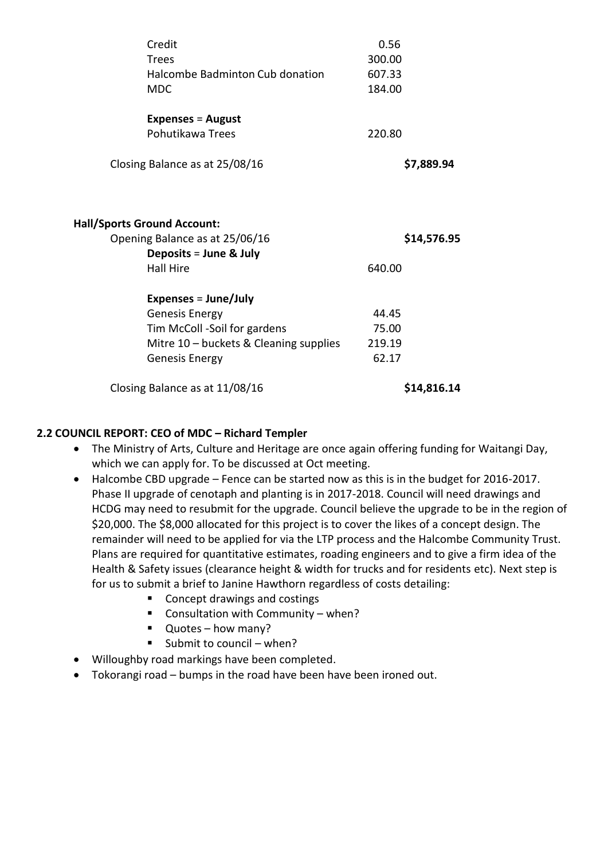| Credit                                                                                                             | 0.56                  |
|--------------------------------------------------------------------------------------------------------------------|-----------------------|
| Trees                                                                                                              | 300.00                |
| Halcombe Badminton Cub donation                                                                                    | 607.33                |
| <b>MDC</b>                                                                                                         | 184.00                |
| <b>Expenses = August</b>                                                                                           |                       |
| Pohutikawa Trees                                                                                                   | 220.80                |
| Closing Balance as at 25/08/16                                                                                     | \$7,889.94            |
| <b>Hall/Sports Ground Account:</b><br>Opening Balance as at 25/06/16<br>Deposits = June & July<br><b>Hall Hire</b> | \$14,576.95<br>640.00 |
|                                                                                                                    |                       |
| Expenses = $June/July$                                                                                             |                       |
| <b>Genesis Energy</b>                                                                                              | 44.45                 |
| Tim McColl -Soil for gardens                                                                                       | 75.00                 |
| Mitre 10 - buckets & Cleaning supplies                                                                             | 219.19                |
| Genesis Energy                                                                                                     | 62.17                 |
| Closing Balance as at 11/08/16                                                                                     | \$14,816.14           |
|                                                                                                                    |                       |

# **2.2 COUNCIL REPORT: CEO of MDC – Richard Templer**

- The Ministry of Arts, Culture and Heritage are once again offering funding for Waitangi Day, which we can apply for. To be discussed at Oct meeting.
- Halcombe CBD upgrade Fence can be started now as this is in the budget for 2016-2017. Phase II upgrade of cenotaph and planting is in 2017-2018. Council will need drawings and HCDG may need to resubmit for the upgrade. Council believe the upgrade to be in the region of \$20,000. The \$8,000 allocated for this project is to cover the likes of a concept design. The remainder will need to be applied for via the LTP process and the Halcombe Community Trust. Plans are required for quantitative estimates, roading engineers and to give a firm idea of the Health & Safety issues (clearance height & width for trucks and for residents etc). Next step is for us to submit a brief to Janine Hawthorn regardless of costs detailing:
	- Concept drawings and costings
	- Consultation with Community when?
	- Quotes how many?
	- Submit to council when?
- Willoughby road markings have been completed.
- Tokorangi road bumps in the road have been have been ironed out.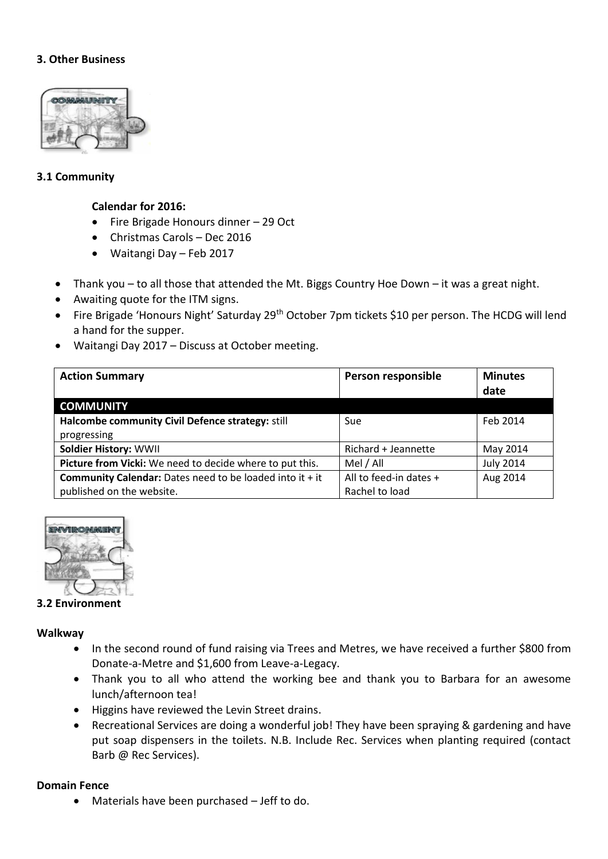## **3. Other Business**



### **3.1 Community**

### **Calendar for 2016:**

- Fire Brigade Honours dinner 29 Oct
- Christmas Carols Dec 2016
- Waitangi Day Feb 2017
- Thank you to all those that attended the Mt. Biggs Country Hoe Down it was a great night.
- Awaiting quote for the ITM signs.
- Fire Brigade 'Honours Night' Saturday 29<sup>th</sup> October 7pm tickets \$10 per person. The HCDG will lend a hand for the supper.
- Waitangi Day 2017 Discuss at October meeting.

| <b>Action Summary</b>                                             | Person responsible     | <b>Minutes</b>   |
|-------------------------------------------------------------------|------------------------|------------------|
|                                                                   |                        | date             |
| <b>COMMUNITY</b>                                                  |                        |                  |
| Halcombe community Civil Defence strategy: still                  | Sue                    | Feb 2014         |
| progressing                                                       |                        |                  |
| <b>Soldier History: WWII</b>                                      | Richard + Jeannette    | May 2014         |
| Picture from Vicki: We need to decide where to put this.          | Mel / All              | <b>July 2014</b> |
| <b>Community Calendar:</b> Dates need to be loaded into it $+$ it | All to feed-in dates + | Aug 2014         |
| published on the website.                                         | Rachel to load         |                  |



#### **3.2 Environment**

#### **Walkway**

- In the second round of fund raising via Trees and Metres, we have received a further \$800 from Donate-a-Metre and \$1,600 from Leave-a-Legacy.
- Thank you to all who attend the working bee and thank you to Barbara for an awesome lunch/afternoon tea!
- Higgins have reviewed the Levin Street drains.
- Recreational Services are doing a wonderful job! They have been spraying & gardening and have put soap dispensers in the toilets. N.B. Include Rec. Services when planting required (contact Barb @ Rec Services).

### **Domain Fence**

Materials have been purchased – Jeff to do.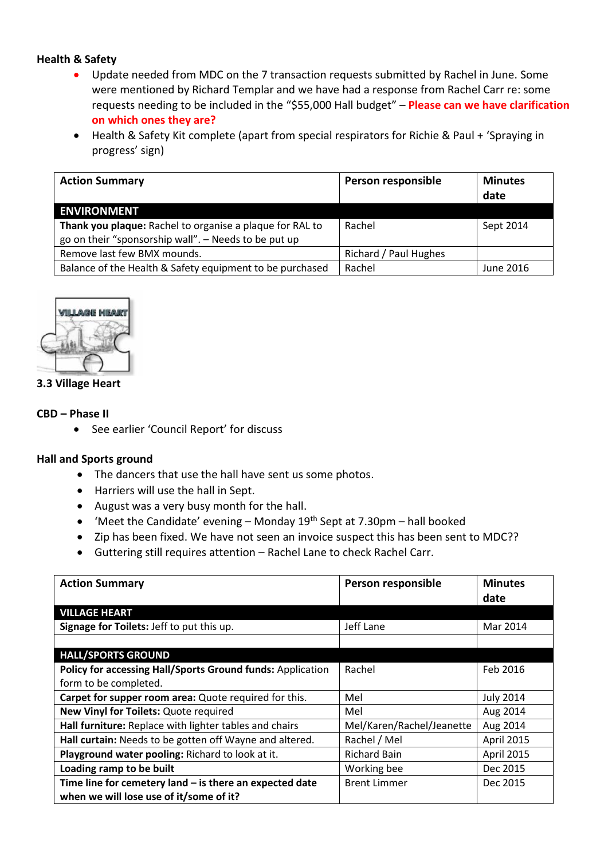# **Health & Safety**

- Update needed from MDC on the 7 transaction requests submitted by Rachel in June. Some were mentioned by Richard Templar and we have had a response from Rachel Carr re: some requests needing to be included in the "\$55,000 Hall budget" – **Please can we have clarification on which ones they are?**
- Health & Safety Kit complete (apart from special respirators for Richie & Paul + 'Spraying in progress' sign)

| <b>Action Summary</b>                                    | Person responsible    | <b>Minutes</b><br>date |
|----------------------------------------------------------|-----------------------|------------------------|
| <b>ENVIRONMENT</b>                                       |                       |                        |
| Thank you plaque: Rachel to organise a plaque for RAL to | Rachel                | Sept 2014              |
| go on their "sponsorship wall". - Needs to be put up     |                       |                        |
| Remove last few BMX mounds.                              | Richard / Paul Hughes |                        |
| Balance of the Health & Safety equipment to be purchased | Rachel                | June 2016              |



### **3.3 Village Heart**

### **CBD – Phase II**

See earlier 'Council Report' for discuss

### **Hall and Sports ground**

- The dancers that use the hall have sent us some photos.
- Harriers will use the hall in Sept.
- August was a very busy month for the hall.
- 'Meet the Candidate' evening Monday  $19<sup>th</sup>$  Sept at 7.30pm hall booked
- Zip has been fixed. We have not seen an invoice suspect this has been sent to MDC??
- Guttering still requires attention Rachel Lane to check Rachel Carr.

| <b>Action Summary</b>                                      | Person responsible        | <b>Minutes</b><br>date |
|------------------------------------------------------------|---------------------------|------------------------|
| <b>VILLAGE HEART</b>                                       |                           |                        |
| Signage for Toilets: Jeff to put this up.                  | Jeff Lane                 | Mar 2014               |
|                                                            |                           |                        |
| <b>HALL/SPORTS GROUND</b>                                  |                           |                        |
| Policy for accessing Hall/Sports Ground funds: Application | Rachel                    | Feb 2016               |
| form to be completed.                                      |                           |                        |
| Carpet for supper room area: Quote required for this.      | Mel                       | <b>July 2014</b>       |
| New Vinyl for Toilets: Quote required                      | Mel                       | Aug 2014               |
| Hall furniture: Replace with lighter tables and chairs     | Mel/Karen/Rachel/Jeanette | Aug 2014               |
| Hall curtain: Needs to be gotten off Wayne and altered.    | Rachel / Mel              | April 2015             |
| Playground water pooling: Richard to look at it.           | <b>Richard Bain</b>       | April 2015             |
| Loading ramp to be built                                   | Working bee               | Dec 2015               |
| Time line for cemetery land $-$ is there an expected date  | <b>Brent Limmer</b>       | Dec 2015               |
| when we will lose use of it/some of it?                    |                           |                        |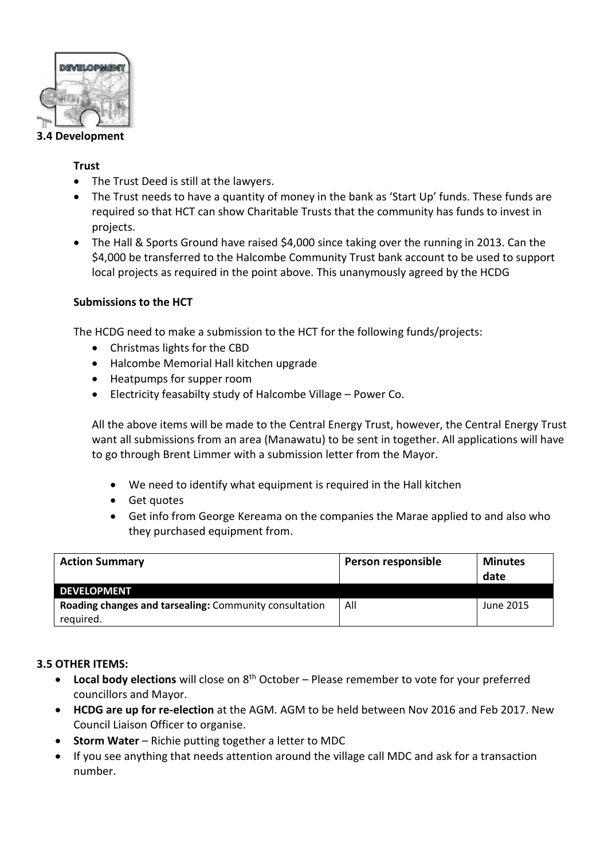

#### **3.4 Development**

### **Trust**

- The Trust Deed is still at the lawyers.
- The Trust needs to have a quantity of money in the bank as 'Start Up' funds. These funds are required so that HCT can show Charitable Trusts that the community has funds to invest in projects.
- The Hall & Sports Ground have raised \$4,000 since taking over the running in 2013. Can the \$4,000 be transferred to the Halcombe Community Trust bank account to be used to support local projects as required in the point above. This unanymously agreed by the HCDG

# **Submissions to the HCT**

The HCDG need to make a submission to the HCT for the following funds/projects:

- Christmas lights for the CBD
- Halcombe Memorial Hall kitchen upgrade
- Heatpumps for supper room
- Electricity feasabilty study of Halcombe Village Power Co.

All the above items will be made to the Central Energy Trust, however, the Central Energy Trust want all submissions from an area (Manawatu) to be sent in together. All applications will have to go through Brent Limmer with a submission letter from the Mayor.

- We need to identify what equipment is required in the Hall kitchen
- Get quotes
- Get info from George Kereama on the companies the Marae applied to and also who they purchased equipment from.

| <b>Action Summary</b>                                  | Person responsible | <b>Minutes</b><br>date |
|--------------------------------------------------------|--------------------|------------------------|
| <b>DEVELOPMENT</b>                                     |                    |                        |
| Roading changes and tarsealing: Community consultation | All                | June 2015              |
| reguired.                                              |                    |                        |

# **3.5 OTHER ITEMS:**

- Local body elections will close on 8<sup>th</sup> October Please remember to vote for your preferred councillors and Mayor.
- **HCDG are up for re-election** at the AGM. AGM to be held between Nov 2016 and Feb 2017. New Council Liaison Officer to organise.
- **Storm Water** Richie putting together a letter to MDC
- If you see anything that needs attention around the village call MDC and ask for a transaction number.